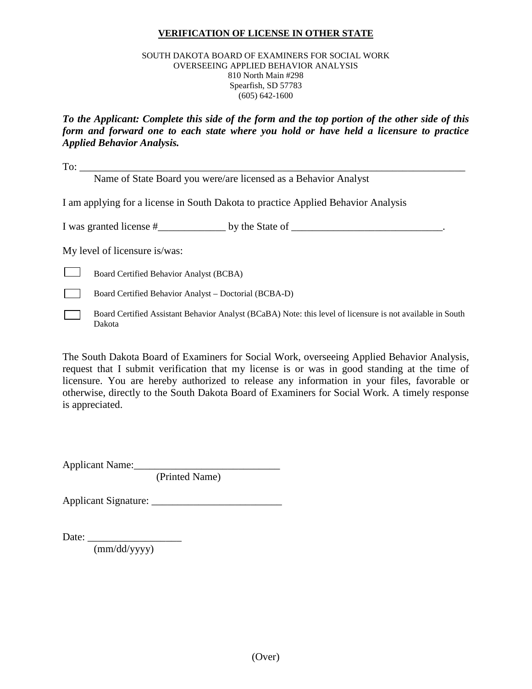### **VERIFICATION OF LICENSE IN OTHER STATE**

#### SOUTH DAKOTA BOARD OF EXAMINERS FOR SOCIAL WORK OVERSEEING APPLIED BEHAVIOR ANALYSIS 810 North Main #298 Spearfish, SD 57783 (605) 642-1600

*To the Applicant: Complete this side of the form and the top portion of the other side of this form and forward one to each state where you hold or have held a licensure to practice Applied Behavior Analysis.*

To: \_\_\_\_\_\_\_\_\_\_\_\_\_\_\_\_\_\_\_\_\_\_\_\_\_\_\_\_\_\_\_\_\_\_\_\_\_\_\_\_\_\_\_\_\_\_\_\_\_\_\_\_\_\_\_\_\_\_\_\_\_\_\_\_\_\_\_\_\_\_\_\_\_\_

Name of State Board you were/are licensed as a Behavior Analyst

I am applying for a license in South Dakota to practice Applied Behavior Analysis

I was granted license #\_\_\_\_\_\_\_\_\_\_\_\_\_ by the State of \_\_\_\_\_\_\_\_\_\_\_\_\_\_\_\_\_\_\_\_\_\_\_\_\_\_\_\_\_.

My level of licensure is/was:

 $\Box$ Board Certified Behavior Analyst (BCBA)

- Board Certified Behavior Analyst Doctorial (BCBA-D)
- Board Certified Assistant Behavior Analyst (BCaBA) Note: this level of licensure is not available in South Dakota

The South Dakota Board of Examiners for Social Work, overseeing Applied Behavior Analysis, request that I submit verification that my license is or was in good standing at the time of licensure. You are hereby authorized to release any information in your files, favorable or otherwise, directly to the South Dakota Board of Examiners for Social Work. A timely response is appreciated.

Applicant Name:\_\_\_\_\_\_\_\_\_\_\_\_\_\_\_\_\_\_\_\_\_\_\_\_\_\_\_\_

(Printed Name)

Applicant Signature: \_\_\_\_\_\_\_\_\_\_\_\_\_\_\_\_\_\_\_\_\_\_\_\_\_

Date: \_\_\_\_\_\_\_\_\_\_\_\_\_\_\_\_\_\_

(mm/dd/yyyy)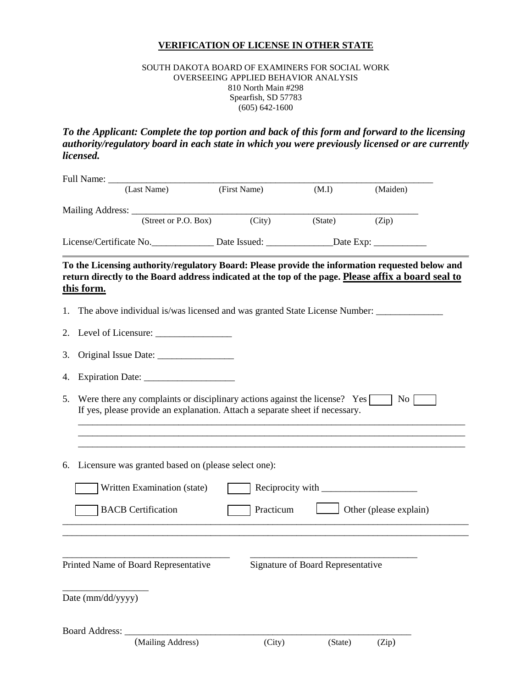## **VERIFICATION OF LICENSE IN OTHER STATE**

### SOUTH DAKOTA BOARD OF EXAMINERS FOR SOCIAL WORK OVERSEEING APPLIED BEHAVIOR ANALYSIS 810 North Main #298 Spearfish, SD 57783 (605) 642-1600

# *To the Applicant: Complete the top portion and back of this form and forward to the licensing authority/regulatory board in each state in which you were previously licensed or are currently licensed.*

|                                                                                                      |                                                        | (Last Name)                                                                                                                                                | (First Name) |           | (M.I)                             | (Maiden)                                                                                                                                                                                               |  |  |
|------------------------------------------------------------------------------------------------------|--------------------------------------------------------|------------------------------------------------------------------------------------------------------------------------------------------------------------|--------------|-----------|-----------------------------------|--------------------------------------------------------------------------------------------------------------------------------------------------------------------------------------------------------|--|--|
|                                                                                                      |                                                        | (Street or P.O. Box)                                                                                                                                       |              | (City)    | (State)                           | (Zip)                                                                                                                                                                                                  |  |  |
| License/Certificate No. _______________ Date Issued: _________________Date Exp: ____________________ |                                                        |                                                                                                                                                            |              |           |                                   |                                                                                                                                                                                                        |  |  |
|                                                                                                      | this form.                                             |                                                                                                                                                            |              |           |                                   | To the Licensing authority/regulatory Board: Please provide the information requested below and<br>return directly to the Board address indicated at the top of the page. Please affix a board seal to |  |  |
| 1.                                                                                                   |                                                        |                                                                                                                                                            |              |           |                                   | The above individual is/was licensed and was granted State License Number:                                                                                                                             |  |  |
|                                                                                                      |                                                        |                                                                                                                                                            |              |           |                                   |                                                                                                                                                                                                        |  |  |
| 3.                                                                                                   |                                                        |                                                                                                                                                            |              |           |                                   |                                                                                                                                                                                                        |  |  |
| 4.                                                                                                   |                                                        |                                                                                                                                                            |              |           |                                   |                                                                                                                                                                                                        |  |  |
| 5.                                                                                                   |                                                        | Were there any complaints or disciplinary actions against the license? Yes<br>If yes, please provide an explanation. Attach a separate sheet if necessary. |              |           |                                   | No                                                                                                                                                                                                     |  |  |
|                                                                                                      | 6. Licensure was granted based on (please select one): |                                                                                                                                                            |              |           |                                   |                                                                                                                                                                                                        |  |  |
|                                                                                                      |                                                        | Written Examination (state)                                                                                                                                |              |           |                                   |                                                                                                                                                                                                        |  |  |
|                                                                                                      |                                                        | <b>BACB</b> Certification                                                                                                                                  |              | Practicum |                                   | Other (please explain)                                                                                                                                                                                 |  |  |
|                                                                                                      | Date (mm/dd/yyyy)                                      | Printed Name of Board Representative                                                                                                                       |              |           | Signature of Board Representative |                                                                                                                                                                                                        |  |  |
|                                                                                                      | Board Address:                                         | (Mailing Address)                                                                                                                                          |              | (City)    | (State)                           | (Zip)                                                                                                                                                                                                  |  |  |